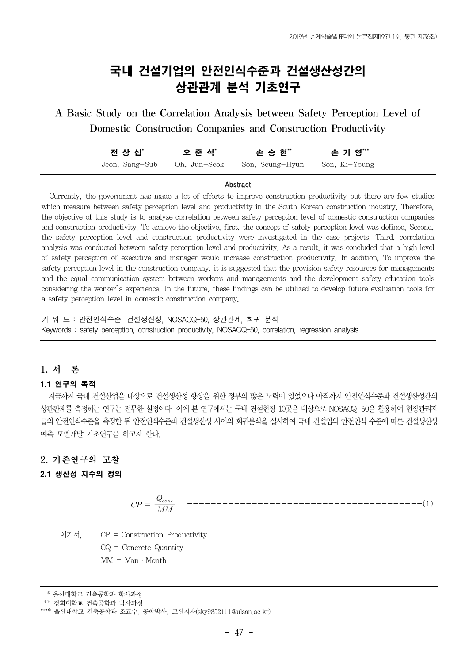# 국내 건설기업의 안전인식수준과 건설생산성간의 상관관계 분석 기초연구

A Basic Study on the Correlation Analysis between Safety Perception Level of Domestic Construction Companies and Construction Productivity

| 전 상 섭゛         | 오 준 석*       | 손 승 현"          | 손 기 영***      |
|----------------|--------------|-----------------|---------------|
| Jeon, Sang-Sub | Oh. Jun-Seok | Son. Seung-Hyun | Son. Ki-Young |

#### Abstract

Currently, the government has made a lot of efforts to improve construction productivity but there are few studies which measure between safety perception level and productivity in the South Korean construction industry. Therefore, the objective of this study is to analyze correlation between safety perception level of domestic construction companies and construction productivity. To achieve the objective, first, the concept of safety perception level was defined. Second, the safety perception level and construction productivity were investigated in the case projects. Third, correlation analysis was conducted between safety perception level and productivity. As a result, it was concluded that a high level of safety perception of executive and manager would increase construction productivity. In addition, To improve the safety perception level in the construction company, it is suggested that the provision safety resources for managements and the equal communication system between workers and managements and the development safety education tools considering the worker's experience. In the future, these findings can be utilized to develop future evaluation tools for a safety perception level in domestic construction company.

키 워 드 : 안전인식수준, 건설생산성, NOSACQ-50, 상관관계, 회귀 분석 Keywords : safety perception, construction productivity, NOSACQ-50, correlation, regression analysis

## 1. 서 론

## 1.1 연구의 목적

지금까지 국내 건설산업을 대상으로 건설생산성 향상을 위한 정부의 많은 노력이 있었으나 아직까지 안전인식수준과 건설생산성간의 상관관계를 측정하는 연구는 전무한 실정이다. 이에 본 연구에서는 국내 건설현장 10곳을 대상으로 NOSACQ-50을 활용하여 현장관리자 들의 안전인식수준을 측정한 뒤 안전인식수준과 건설생산성 사이의 회귀분석을 실시하여 국내 건설업의 안전인식 수준에 따른 건설생산성 예측 모델개발 기초연구를 하고자 한다.

## 2. 기존연구의 고찰

## 2.1 생산성 지수의 정의

 ----------------------------------------(1)

여기서, CP = Construction Productivity CQ = Concrete Quantity  $MM = Man \cdot Month$ 

<sup>\*</sup> 울산대학교 건축공학과 학사과정

<sup>\*\*</sup> 경희대학교 건축공학과 박사과정

<sup>\*\*\*</sup> 울산대학교 건축공학과 조교수, 공학박사, 교신저자(sky9852111@ulsan.ac.kr)